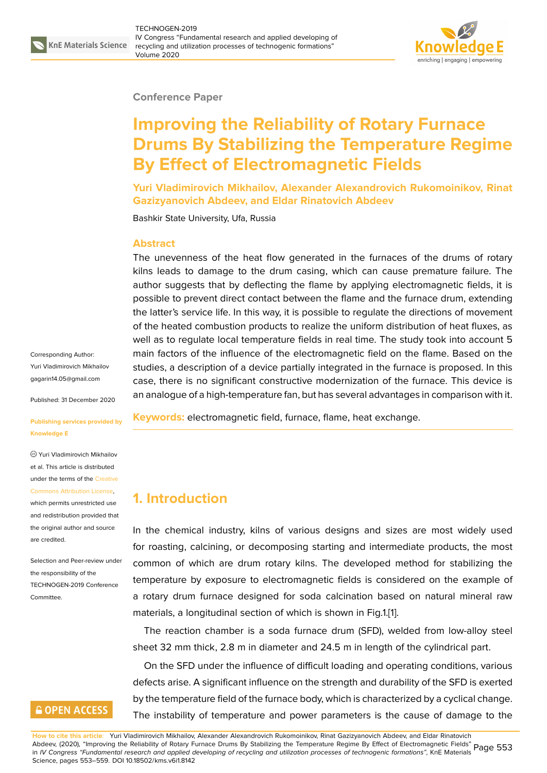

#### **Conference Paper**

# **Improving the Reliability of Rotary Furnace Drums By Stabilizing the Temperature Regime By Effect of Electromagnetic Fields**

**Yuri Vladimirovich Mikhailov, Alexander Alexandrovich Rukomoinikov, Rinat Gazizyanovich Abdeev, and Eldar Rinatovich Abdeev**

Bashkir State University, Ufa, Russia

#### **Abstract**

The unevenness of the heat flow generated in the furnaces of the drums of rotary kilns leads to damage to the drum casing, which can cause premature failure. The author suggests that by deflecting the flame by applying electromagnetic fields, it is possible to prevent direct contact between the flame and the furnace drum, extending the latter's service life. In this way, it is possible to regulate the directions of movement of the heated combustion products to realize the uniform distribution of heat fluxes, as well as to regulate local temperature fields in real time. The study took into account 5 main factors of the influence of the electromagnetic field on the flame. Based on the studies, a description of a device partially integrated in the furnace is proposed. In this case, there is no significant constructive modernization of the furnace. This device is an analogue of a high-temperature fan, but has several advantages in comparison with it.

**Keywords:** electromagnetic field, furnace, flame, heat exchange.

# **1. Introduction**

In the chemical industry, kilns of various designs and sizes are most widely used for roasting, calcining, or decomposing starting and intermediate products, the most common of which are drum rotary kilns. The developed method for stabilizing the temperature by exposure to electromagnetic fields is considered on the example of a rotary drum furnace designed for soda calcination based on natural mineral raw materials, a longitudinal section of which is shown in Fig.1.[1].

The reaction chamber is a soda furnace drum (SFD), welded from low-alloy steel sheet 32 mm thick, 2.8 m in diameter and 24.5 m in length of the cylindrical part.

On the SFD under the influence of difficult loading and [op](#page-5-0)erating conditions, various defects arise. A significant influence on the strength and durability of the SFD is exerted by the temperature field of the furnace body, which is characterized by a cyclical change. The instability of temperature and power parameters is the cause of damage to the

Corresponding Author: Yuri Vladimirovich Mikhailov gagarin14.05@gmail.com

Published: 31 December 2020

**[Publishing services prov](mailto:gagarin14.05@gmail.com)ided by Knowledge E**

Yuri Vladimirovich Mikhailov et al. This article is distributed under the terms of the Creative Commons Attribution License,

which permits unrestricted use and redistribution provided that the original author and [source](https://creativecommons.org/licenses/by/4.0/) [are credited.](https://creativecommons.org/licenses/by/4.0/)

Selection and Peer-review under the responsibility of the TECHNOGEN-2019 Conference Committee.

# **GOPEN ACCESS**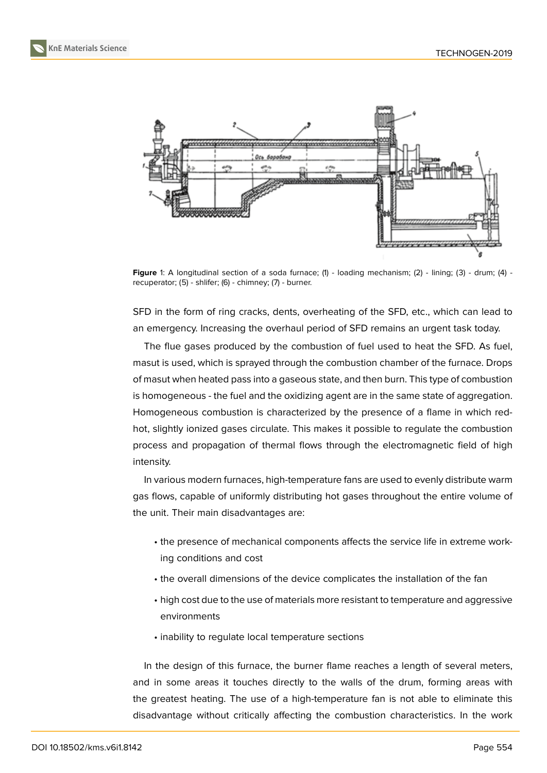

**Figure** 1: A longitudinal section of a soda furnace; (1) - loading mechanism; (2) - lining; (3) - drum; (4) recuperator; (5) - shlifer; (6) - chimney; (7) - burner.

SFD in the form of ring cracks, dents, overheating of the SFD, etc., which can lead to an emergency. Increasing the overhaul period of SFD remains an urgent task today.

The flue gases produced by the combustion of fuel used to heat the SFD. As fuel, masut is used, which is sprayed through the combustion chamber of the furnace. Drops of masut when heated pass into a gaseous state, and then burn. This type of combustion is homogeneous - the fuel and the oxidizing agent are in the same state of aggregation. Homogeneous combustion is characterized by the presence of a flame in which redhot, slightly ionized gases circulate. This makes it possible to regulate the combustion process and propagation of thermal flows through the electromagnetic field of high intensity.

In various modern furnaces, high-temperature fans are used to evenly distribute warm gas flows, capable of uniformly distributing hot gases throughout the entire volume of the unit. Their main disadvantages are:

- the presence of mechanical components affects the service life in extreme working conditions and cost
- the overall dimensions of the device complicates the installation of the fan
- high cost due to the use of materials more resistant to temperature and aggressive environments
- inability to regulate local temperature sections

In the design of this furnace, the burner flame reaches a length of several meters, and in some areas it touches directly to the walls of the drum, forming areas with the greatest heating. The use of a high-temperature fan is not able to eliminate this disadvantage without critically affecting the combustion characteristics. In the work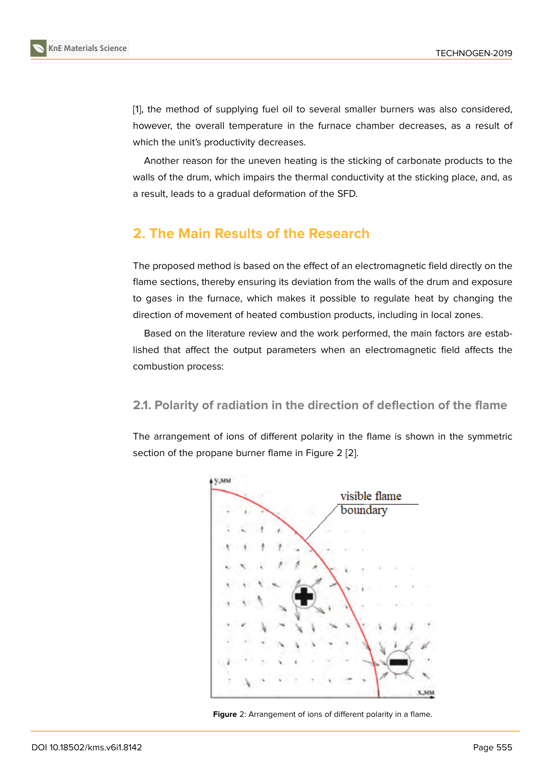[1], the method of supplying fuel oil to several smaller burners was also considered, however, the overall temperature in the furnace chamber decreases, as a result of which the unit's productivity decreases.

Another reason for the uneven heating is the sticking of carbonate products to the walls of the drum, which impairs the thermal conductivity at the sticking place, and, as a result, leads to a gradual deformation of the SFD.

# **2. The Main Results of the Research**

The proposed method is based on the effect of an electromagnetic field directly on the flame sections, thereby ensuring its deviation from the walls of the drum and exposure to gases in the furnace, which makes it possible to regulate heat by changing the direction of movement of heated combustion products, including in local zones.

Based on the literature review and the work performed, the main factors are established that affect the output parameters when an electromagnetic field affects the combustion process:

#### **2.1. Polarity of radiation in the direction of deflection of the flame**

The arrangement of ions of different polarity in the flame is shown in the symmetric section of the propane burner flame in Figure 2 [2].



<span id="page-2-0"></span>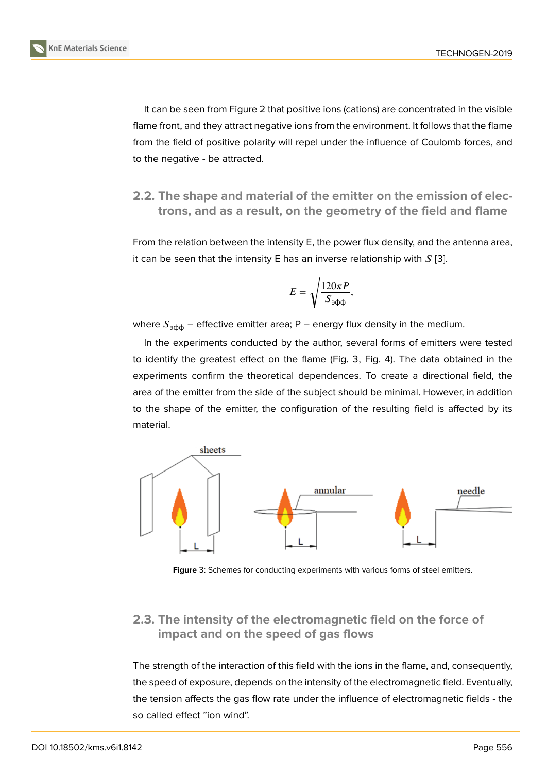It can be seen from Figure 2 that positive ions (cations) are concentrated in the visible flame front, and they attract negative ions from the environment. It follows that the flame from the field of positive polarity will repel under the influence of Coulomb forces, and to the negative - be attracte[d.](#page-2-0)

#### **2.2. The shape and material of the emitter on the emission of electrons, and as a result, on the geometry of the field and flame**

From the relation between the intensity E, the power flux density, and the antenna area, it can be seen that the intensity E has an inverse relationship with  $S$  [3].

$$
E = \sqrt{\frac{120\pi P}{S_{\text{3}\varphi\varphi}}},
$$

where  $S_{\text{pdp}}$  – effective emitter area; P – energy flux density in the medium.

In the experiments conducted by the author, several forms of emitters were tested to identify the greatest effect on the flame (Fig. 3, Fig. 4). The data obtained in the experiments confirm the theoretical dependences. To create a directional field, the area of the emitter from the side of the subject should be minimal. However, in addition to the shape of the emitter, the configuration of the resulting field is affected by its material.



**Figure** 3: Schemes for conducting experiments with various forms of steel emitters.

## **2.3. The intensity of the electromagnetic field on the force of impact and on the speed of gas flows**

The strength of the interaction of this field with the ions in the flame, and, consequently, the speed of exposure, depends on the intensity of the electromagnetic field. Eventually, the tension affects the gas flow rate under the influence of electromagnetic fields - the so called effect "ion wind".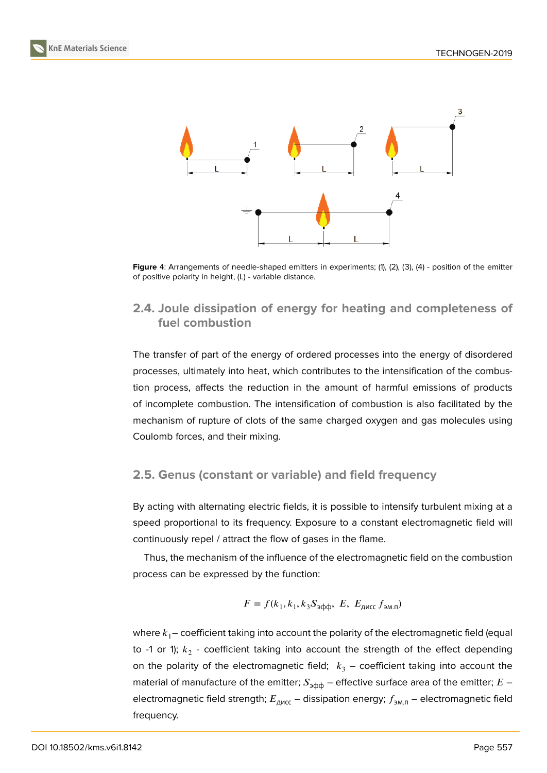



Figure 4: Arrangements of needle-shaped emitters in experiments; (1), (2), (3), (4) - position of the emitter of positive polarity in height, (L) - variable distance.

### **2.4. Joule dissipation of energy for heating and completeness of fuel combustion**

The transfer of part of the energy of ordered processes into the energy of disordered processes, ultimately into heat, which contributes to the intensification of the combustion process, affects the reduction in the amount of harmful emissions of products of incomplete combustion. The intensification of combustion is also facilitated by the mechanism of rupture of clots of the same charged oxygen and gas molecules using Coulomb forces, and their mixing.

#### **2.5. Genus (constant or variable) and field frequency**

By acting with alternating electric fields, it is possible to intensify turbulent mixing at a speed proportional to its frequency. Exposure to a constant electromagnetic field will continuously repel / attract the flow of gases in the flame.

Thus, the mechanism of the influence of the electromagnetic field on the combustion process can be expressed by the function:

$$
F = f(k_1, k_1, k_3 S_{\text{supp}}, E, E_{\text{AMCC}} f_{\text{EM}})
$$

where  $k_1$ – coefficient taking into account the polarity of the electromagnetic field (equal to -1 or 1);  $k^{\phantom{\dagger}}_2$  - coefficient taking into account the strength of the effect depending on the polarity of the electromagnetic field;  $k_3$  – coefficient taking into account the material of manufacture of the emitter;  $S_{\vartheta\varphi\varphi}$  – effective surface area of the emitter;  $E$  – electromagnetic field strength;  $E_{\text{AMCC}}$  – dissipation energy;  $f_{\text{AM.D}}$  – electromagnetic field frequency.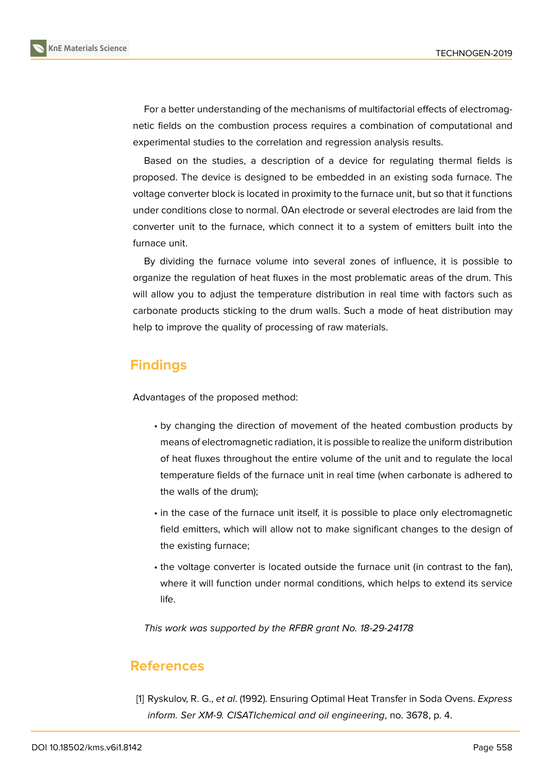

For a better understanding of the mechanisms of multifactorial effects of electromagnetic fields on the combustion process requires a combination of computational and experimental studies to the correlation and regression analysis results.

Based on the studies, a description of a device for regulating thermal fields is proposed. The device is designed to be embedded in an existing soda furnace. The voltage converter block is located in proximity to the furnace unit, but so that it functions under conditions close to normal. ОAn electrode or several electrodes are laid from the converter unit to the furnace, which connect it to a system of emitters built into the furnace unit.

By dividing the furnace volume into several zones of influence, it is possible to organize the regulation of heat fluxes in the most problematic areas of the drum. This will allow you to adjust the temperature distribution in real time with factors such as carbonate products sticking to the drum walls. Such a mode of heat distribution may help to improve the quality of processing of raw materials.

# **Findings**

Advantages of the proposed method:

- by changing the direction of movement of the heated combustion products by means of electromagnetic radiation, it is possible to realize the uniform distribution of heat fluxes throughout the entire volume of the unit and to regulate the local temperature fields of the furnace unit in real time (when carbonate is adhered to the walls of the drum);
- in the case of the furnace unit itself, it is possible to place only electromagnetic field emitters, which will allow not to make significant changes to the design of the existing furnace;
- the voltage converter is located outside the furnace unit (in contrast to the fan), where it will function under normal conditions, which helps to extend its service life.

*This work was supported by the RFBR grant No. 18-29-24178*

### **References**

<span id="page-5-0"></span>[1] Ryskulov, R. G., *et al*. (1992). Ensuring Optimal Heat Transfer in Soda Ovens. *Express inform. Ser XM-9. CISATIchemical and oil engineering*, no. 3678, p. 4.